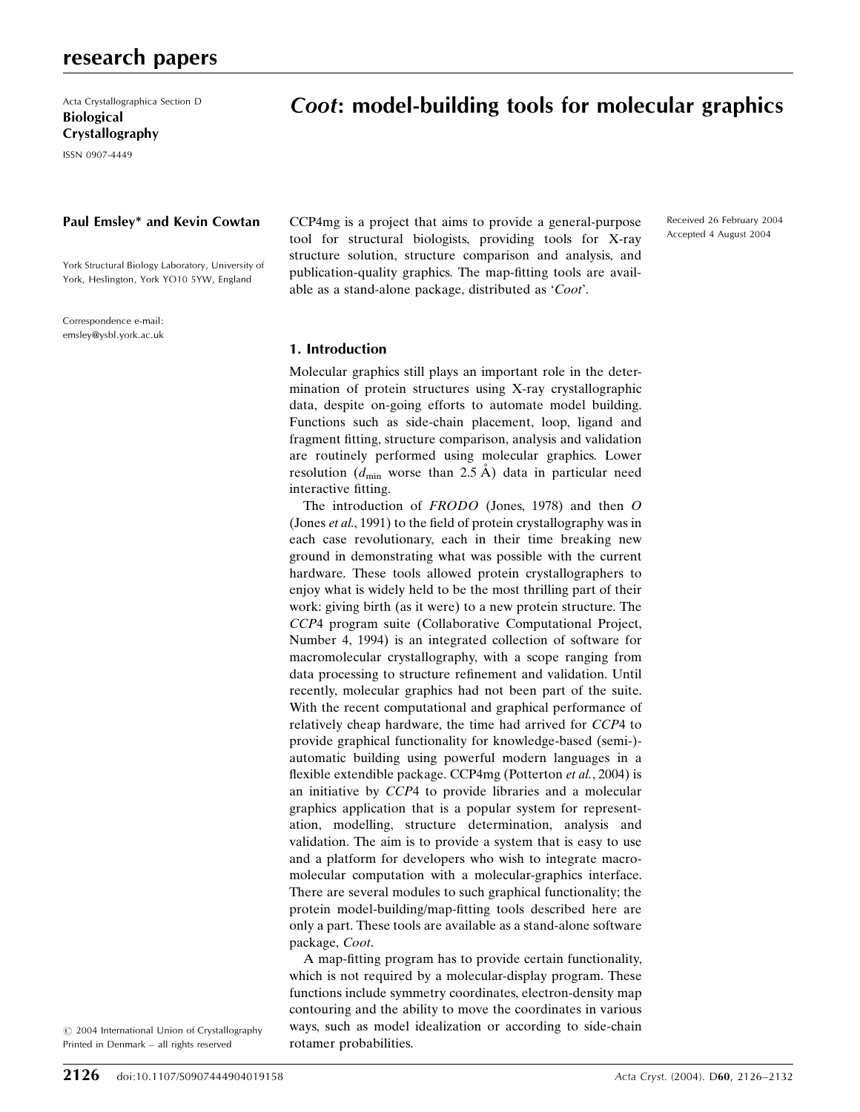Acta Crystallographica Section D Biological Crystallography

ISSN 0907-4449

### Paul Emsley\* and Kevin Cowtan

York Structural Biology Laboratory, University of York, Heslington, York YO10 5YW, England

Correspondence e-mail: emsley@ysbl.york.ac.uk

# Coot: model-building tools for molecular graphics

CCP4mg is a project that aims to provide a general-purpose tool for structural biologists, providing tools for X-ray structure solution, structure comparison and analysis, and publication-quality graphics. The map-fitting tools are available as a stand-alone package, distributed as 'Coot'.

Received 26 February 2004 Accepted 4 August 2004

### 1. Introduction

Molecular graphics still plays an important role in the determination of protein structures using X-ray crystallographic data, despite on-going efforts to automate model building. Functions such as side-chain placement, loop, ligand and fragment fitting, structure comparison, analysis and validation are routinely performed using molecular graphics. Lower resolution ( $d_{\text{min}}$  worse than 2.5 Å) data in particular need interactive fitting.

The introduction of FRODO (Jones, 1978) and then O (Jones et al., 1991) to the field of protein crystallography was in each case revolutionary, each in their time breaking new ground in demonstrating what was possible with the current hardware. These tools allowed protein crystallographers to enjoy what is widely held to be the most thrilling part of their work: giving birth (as it were) to a new protein structure. The CCP4 program suite (Collaborative Computational Project, Number 4, 1994) is an integrated collection of software for macromolecular crystallography, with a scope ranging from data processing to structure refinement and validation. Until recently, molecular graphics had not been part of the suite. With the recent computational and graphical performance of relatively cheap hardware, the time had arrived for CCP4 to provide graphical functionality for knowledge-based (semi-) automatic building using powerful modern languages in a flexible extendible package. CCP4mg (Potterton et al., 2004) is an initiative by CCP4 to provide libraries and a molecular graphics application that is a popular system for representation, modelling, structure determination, analysis and validation. The aim is to provide a system that is easy to use and a platform for developers who wish to integrate macromolecular computation with a molecular-graphics interface. There are several modules to such graphical functionality; the protein model-building/map-fitting tools described here are only a part. These tools are available as a stand-alone software package, Coot.

A map-fitting program has to provide certain functionality, which is not required by a molecular-display program. These functions include symmetry coordinates, electron-density map contouring and the ability to move the coordinates in various ways, such as model idealization or according to side-chain rotamer probabilities.

 $\odot$  2004 International Union of Crystallography Printed in Denmark - all rights reserved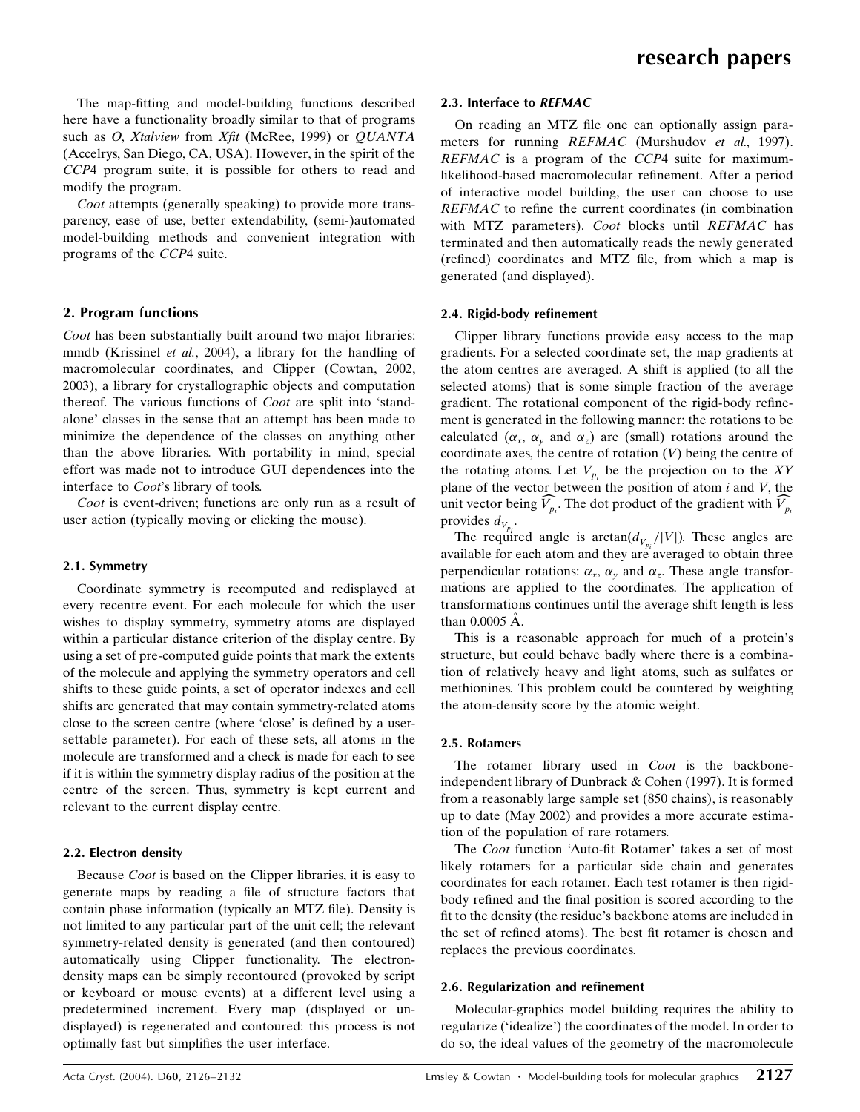The map-fitting and model-building functions described here have a functionality broadly similar to that of programs such as O, Xtalview from Xfit (McRee, 1999) or QUANTA (Accelrys, San Diego, CA, USA). However, in the spirit of the CCP4 program suite, it is possible for others to read and modify the program.

Coot attempts (generally speaking) to provide more transparency, ease of use, better extendability, (semi-)automated model-building methods and convenient integration with programs of the CCP4 suite.

# 2. Program functions

Coot has been substantially built around two major libraries: mmdb (Krissinel et al., 2004), a library for the handling of macromolecular coordinates, and Clipper (Cowtan, 2002, 2003), a library for crystallographic objects and computation thereof. The various functions of *Coot* are split into 'standalone' classes in the sense that an attempt has been made to minimize the dependence of the classes on anything other than the above libraries. With portability in mind, special effort was made not to introduce GUI dependences into the interface to Coot's library of tools.

Coot is event-driven; functions are only run as a result of user action (typically moving or clicking the mouse).

### 2.1. Symmetry

Coordinate symmetry is recomputed and redisplayed at every recentre event. For each molecule for which the user wishes to display symmetry, symmetry atoms are displayed within a particular distance criterion of the display centre. By using a set of pre-computed guide points that mark the extents of the molecule and applying the symmetry operators and cell shifts to these guide points, a set of operator indexes and cell shifts are generated that may contain symmetry-related atoms close to the screen centre (where 'close' is defined by a usersettable parameter). For each of these sets, all atoms in the molecule are transformed and a check is made for each to see if it is within the symmetry display radius of the position at the centre of the screen. Thus, symmetry is kept current and relevant to the current display centre.

### 2.2. Electron density

Because Coot is based on the Clipper libraries, it is easy to generate maps by reading a file of structure factors that contain phase information (typically an MTZ file). Density is not limited to any particular part of the unit cell; the relevant symmetry-related density is generated (and then contoured) automatically using Clipper functionality. The electrondensity maps can be simply recontoured (provoked by script or keyboard or mouse events) at a different level using a predetermined increment. Every map (displayed or undisplayed) is regenerated and contoured: this process is not optimally fast but simplifies the user interface.

On reading an MTZ file one can optionally assign parameters for running REFMAC (Murshudov et al., 1997). REFMAC is a program of the CCP4 suite for maximumlikelihood-based macromolecular refinement. After a period of interactive model building, the user can choose to use  $REFMAC$  to refine the current coordinates (in combination with MTZ parameters). Coot blocks until REFMAC has terminated and then automatically reads the newly generated (refined) coordinates and MTZ file, from which a map is generated (and displayed).

### 2.4. Rigid-body refinement

Clipper library functions provide easy access to the map gradients. For a selected coordinate set, the map gradients at the atom centres are averaged. A shift is applied (to all the selected atoms) that is some simple fraction of the average gradient. The rotational component of the rigid-body refinement is generated in the following manner: the rotations to be calculated  $(\alpha_x, \alpha_y, \alpha_d)$  are (small) rotations around the coordinate axes, the centre of rotation  $(V)$  being the centre of the rotating atoms. Let  $V_{p_i}$  be the projection on to the XY plane of the vector between the position of atom  $i$  and  $V$ , the unit vector being  $V_{p_i}$ . The dot product of the gradient with  $V_{p_i}$ provides  $d_{V_{p_i}}$ .

The required angle is  $arctan(d_{V_{p_i}}/|V|)$ . These angles are available for each atom and they are averaged to obtain three perpendicular rotations:  $\alpha_x$ ,  $\alpha_y$  and  $\alpha_z$ . These angle transformations are applied to the coordinates. The application of transformations continues until the average shift length is less than  $0.0005$   $\AA$ .

This is a reasonable approach for much of a protein's structure, but could behave badly where there is a combination of relatively heavy and light atoms, such as sulfates or methionines. This problem could be countered by weighting the atom-density score by the atomic weight.

# 2.5. Rotamers

The rotamer library used in *Coot* is the backboneindependent library of Dunbrack & Cohen (1997). It is formed from a reasonably large sample set (850 chains), is reasonably up to date (May 2002) and provides a more accurate estimation of the population of rare rotamers.

The Coot function 'Auto-fit Rotamer' takes a set of most likely rotamers for a particular side chain and generates coordinates for each rotamer. Each test rotamer is then rigidbody refined and the final position is scored according to the fit to the density (the residue's backbone atoms are included in the set of refined atoms). The best fit rotamer is chosen and replaces the previous coordinates.

### 2.6. Regularization and refinement

Molecular-graphics model building requires the ability to regularize (`idealize') the coordinates of the model. In order to do so, the ideal values of the geometry of the macromolecule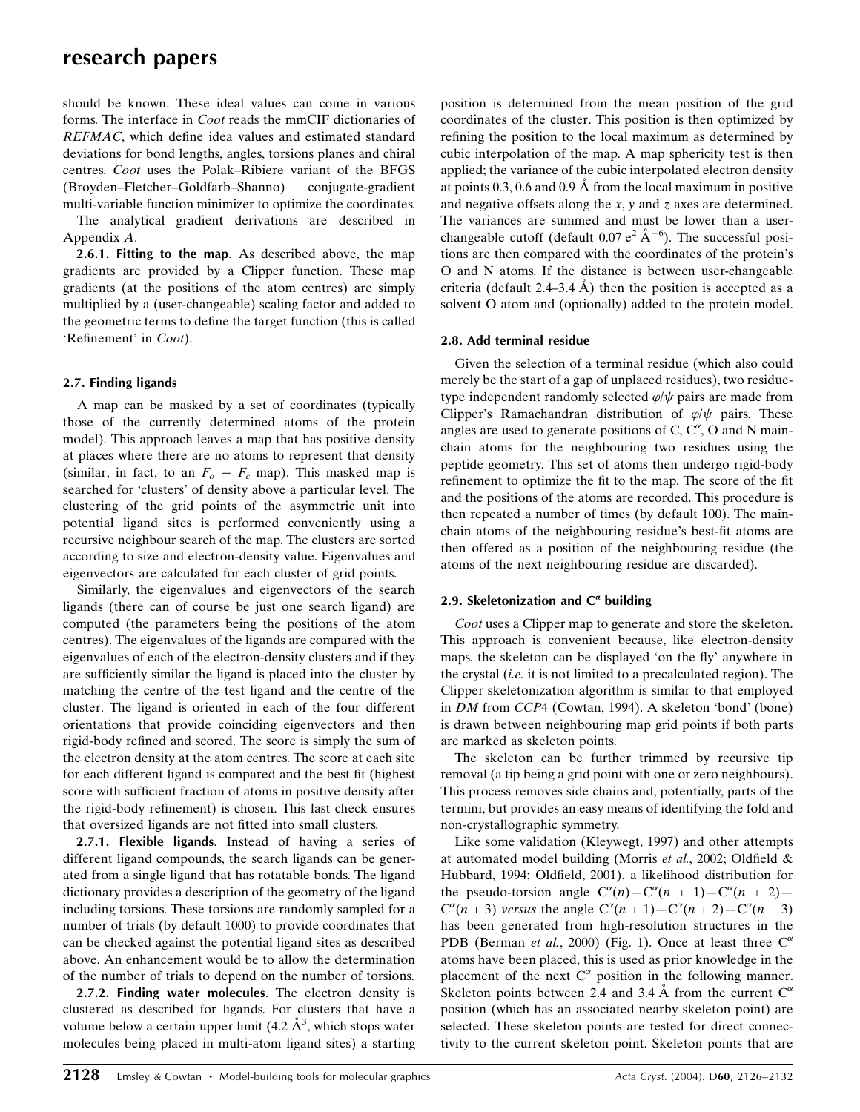should be known. These ideal values can come in various forms. The interface in Coot reads the mmCIF dictionaries of  $REFMAC$ , which define idea values and estimated standard deviations for bond lengths, angles, torsions planes and chiral centres. Coot uses the Polak-Ribiere variant of the BFGS (Broyden-Fletcher-Goldfarb-Shanno) conjugate-gradient multi-variable function minimizer to optimize the coordinates.

The analytical gradient derivations are described in Appendix A.

2.6.1. Fitting to the map. As described above, the map gradients are provided by a Clipper function. These map gradients (at the positions of the atom centres) are simply multiplied by a (user-changeable) scaling factor and added to the geometric terms to define the target function (this is called 'Refinement' in Coot).

# 2.7. Finding ligands

A map can be masked by a set of coordinates (typically those of the currently determined atoms of the protein model). This approach leaves a map that has positive density at places where there are no atoms to represent that density (similar, in fact, to an  $F_o - F_c$  map). This masked map is searched for 'clusters' of density above a particular level. The clustering of the grid points of the asymmetric unit into potential ligand sites is performed conveniently using a recursive neighbour search of the map. The clusters are sorted according to size and electron-density value. Eigenvalues and eigenvectors are calculated for each cluster of grid points.

Similarly, the eigenvalues and eigenvectors of the search ligands (there can of course be just one search ligand) are computed (the parameters being the positions of the atom centres). The eigenvalues of the ligands are compared with the eigenvalues of each of the electron-density clusters and if they are sufficiently similar the ligand is placed into the cluster by matching the centre of the test ligand and the centre of the cluster. The ligand is oriented in each of the four different orientations that provide coinciding eigenvectors and then rigid-body refined and scored. The score is simply the sum of the electron density at the atom centres. The score at each site for each different ligand is compared and the best fit (highest score with sufficient fraction of atoms in positive density after the rigid-body refinement) is chosen. This last check ensures that oversized ligands are not fitted into small clusters.

2.7.1. Flexible ligands. Instead of having a series of different ligand compounds, the search ligands can be generated from a single ligand that has rotatable bonds. The ligand dictionary provides a description of the geometry of the ligand including torsions. These torsions are randomly sampled for a number of trials (by default 1000) to provide coordinates that can be checked against the potential ligand sites as described above. An enhancement would be to allow the determination of the number of trials to depend on the number of torsions.

2.7.2. Finding water molecules. The electron density is clustered as described for ligands. For clusters that have a volume below a certain upper limit  $(4.2 \text{ Å}^3, \text{ which stops water})$ molecules being placed in multi-atom ligand sites) a starting

position is determined from the mean position of the grid coordinates of the cluster. This position is then optimized by refining the position to the local maximum as determined by cubic interpolation of the map. A map sphericity test is then applied; the variance of the cubic interpolated electron density at points  $0.3$ ,  $0.6$  and  $0.9$  Å from the local maximum in positive and negative offsets along the  $x$ ,  $y$  and  $z$  axes are determined. The variances are summed and must be lower than a userchangeable cutoff (default  $0.07 e^2 \text{ Å}^{-6}$ ). The successful positions are then compared with the coordinates of the protein's O and N atoms. If the distance is between user-changeable criteria (default 2.4 $-3.4$  A) then the position is accepted as a solvent O atom and (optionally) added to the protein model.

# 2.8. Add terminal residue

Given the selection of a terminal residue (which also could merely be the start of a gap of unplaced residues), two residuetype independent randomly selected  $\varphi/\psi$  pairs are made from Clipper's Ramachandran distribution of  $\varphi/\psi$  pairs. These angles are used to generate positions of C,  $C^{\alpha}$ , O and N mainchain atoms for the neighbouring two residues using the peptide geometry. This set of atoms then undergo rigid-body refinement to optimize the fit to the map. The score of the fit and the positions of the atoms are recorded. This procedure is then repeated a number of times (by default 100). The mainchain atoms of the neighbouring residue's best-fit atoms are then offered as a position of the neighbouring residue (the atoms of the next neighbouring residue are discarded).

# 2.9. Skeletonization and  $C^{\alpha}$  building

Coot uses a Clipper map to generate and store the skeleton. This approach is convenient because, like electron-density maps, the skeleton can be displayed 'on the fly' anywhere in the crystal *(i.e.* it is not limited to a precalculated region). The Clipper skeletonization algorithm is similar to that employed in DM from CCP4 (Cowtan, 1994). A skeleton `bond' (bone) is drawn between neighbouring map grid points if both parts are marked as skeleton points.

The skeleton can be further trimmed by recursive tip removal (a tip being a grid point with one or zero neighbours). This process removes side chains and, potentially, parts of the termini, but provides an easy means of identifying the fold and non-crystallographic symmetry.

Like some validation (Kleywegt, 1997) and other attempts at automated model building (Morris et al., 2002; Oldfield  $\&$ Hubbard, 1994; Oldfield, 2001), a likelihood distribution for the pseudo-torsion angle  $C^{\alpha}(n) - C^{\alpha}(n + 1) - C^{\alpha}(n + 2)$  $C^{\alpha}(n + 3)$  versus the angle  $C^{\alpha}(n + 1) - C^{\alpha}(n + 2) - C^{\alpha}(n + 3)$ has been generated from high-resolution structures in the PDB (Berman et al., 2000) (Fig. 1). Once at least three  $C^{\alpha}$ atoms have been placed, this is used as prior knowledge in the placement of the next  $C^{\alpha}$  position in the following manner. Skeleton points between 2.4 and 3.4 A from the current  $C^{\alpha}$ position (which has an associated nearby skeleton point) are selected. These skeleton points are tested for direct connectivity to the current skeleton point. Skeleton points that are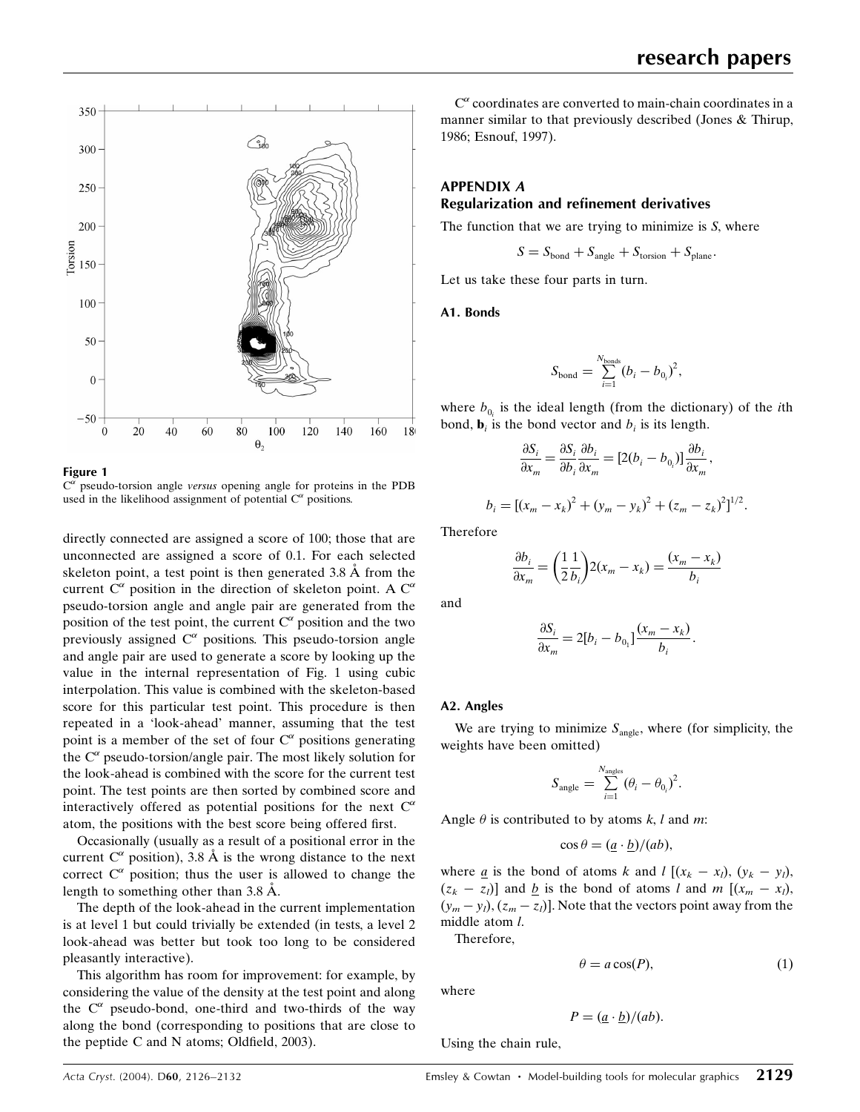



 $C^{\alpha}$  pseudo-torsion angle versus opening angle for proteins in the PDB used in the likelihood assignment of potential  $C^{\alpha}$  positions.

directly connected are assigned a score of 100; those that are unconnected are assigned a score of 0.1. For each selected skeleton point, a test point is then generated  $3.8 \text{ Å}$  from the current  $C^{\alpha}$  position in the direction of skeleton point. A  $C^{\alpha}$ pseudo-torsion angle and angle pair are generated from the position of the test point, the current  $C^{\alpha}$  position and the two previously assigned  $C^{\alpha}$  positions. This pseudo-torsion angle and angle pair are used to generate a score by looking up the value in the internal representation of Fig. 1 using cubic interpolation. This value is combined with the skeleton-based score for this particular test point. This procedure is then repeated in a `look-ahead' manner, assuming that the test point is a member of the set of four  $C^{\alpha}$  positions generating the  $C^{\alpha}$  pseudo-torsion/angle pair. The most likely solution for the look-ahead is combined with the score for the current test point. The test points are then sorted by combined score and interactively offered as potential positions for the next  $C^{\alpha}$ atom, the positions with the best score being offered first.

Occasionally (usually as a result of a positional error in the current  $C^{\alpha}$  position), 3.8 Å is the wrong distance to the next correct  $C^{\alpha}$  position; thus the user is allowed to change the length to something other than  $3.8 \text{ Å}$ .

The depth of the look-ahead in the current implementation is at level 1 but could trivially be extended (in tests, a level 2 look-ahead was better but took too long to be considered pleasantly interactive).

This algorithm has room for improvement: for example, by considering the value of the density at the test point and along the  $C^{\alpha}$  pseudo-bond, one-third and two-thirds of the way along the bond (corresponding to positions that are close to the peptide C and N atoms; Oldfield,  $2003$ ).

 $C^{\alpha}$  coordinates are converted to main-chain coordinates in a manner similar to that previously described (Jones & Thirup, 1986; Esnouf, 1997).

# APPENDIX A Regularization and refinement derivatives

The function that we are trying to minimize is S, where

$$
S = S_{\rm bond} + S_{\rm angle} + S_{\rm torsion} + S_{\rm plane}.
$$

Let us take these four parts in turn.

A1. Bonds

$$
S_{\text{bond}} = \sum_{i=1}^{N_{\text{bonds}}} (b_i - b_{0_i})^2,
$$

where  $b_{0i}$  is the ideal length (from the dictionary) of the *i*th bond,  $\mathbf{b}_i$  is the bond vector and  $b_i$  is its length.

$$
\frac{\partial S_i}{\partial x_m} = \frac{\partial S_i}{\partial b_i} \frac{\partial b_i}{\partial x_m} = [2(b_i - b_{0_i})] \frac{\partial b_i}{\partial x_m},
$$

$$
b_i = [(x_m - x_k)^2 + (y_m - y_k)^2 + (z_m - z_k)^2]^{1/2}.
$$

Therefore

$$
\frac{\partial b_i}{\partial x_m} = \left(\frac{1}{2}\frac{1}{b_i}\right) 2(x_m - x_k) = \frac{(x_m - x_k)}{b_i}
$$

and

$$
\frac{\partial S_i}{\partial x_m} = 2[b_i - b_{0_1}] \frac{(x_m - x_k)}{b_i}.
$$

### A2. Angles

We are trying to minimize  $S_{\text{angle}}$ , where (for simplicity, the weights have been omitted)

$$
\mathbf{S}_{\text{angle}} = \sum_{i=1}^{N_{\text{angles}}} (\theta_i - \theta_{0_i})^2.
$$

Angle  $\theta$  is contributed to by atoms k, l and m:

$$
\cos \theta = \frac{(a \cdot b)}{(ab)},
$$

where <u>a</u> is the bond of atoms k and  $l$  [ $(x_k - x_l)$ ,  $(y_k - y_l)$ ,  $(z_k - z_l)$ ] and <u>b</u> is the bond of atoms l and m  $[(x_m - x_l)]$ ,  $(y_m - y_l), (z_m - z_l)$ . Note that the vectors point away from the middle atom l.

Therefore,

$$
\theta = a\cos(P),\tag{1}
$$

where

$$
P = \frac{(a \cdot b)}{(ab)}.
$$

Using the chain rule,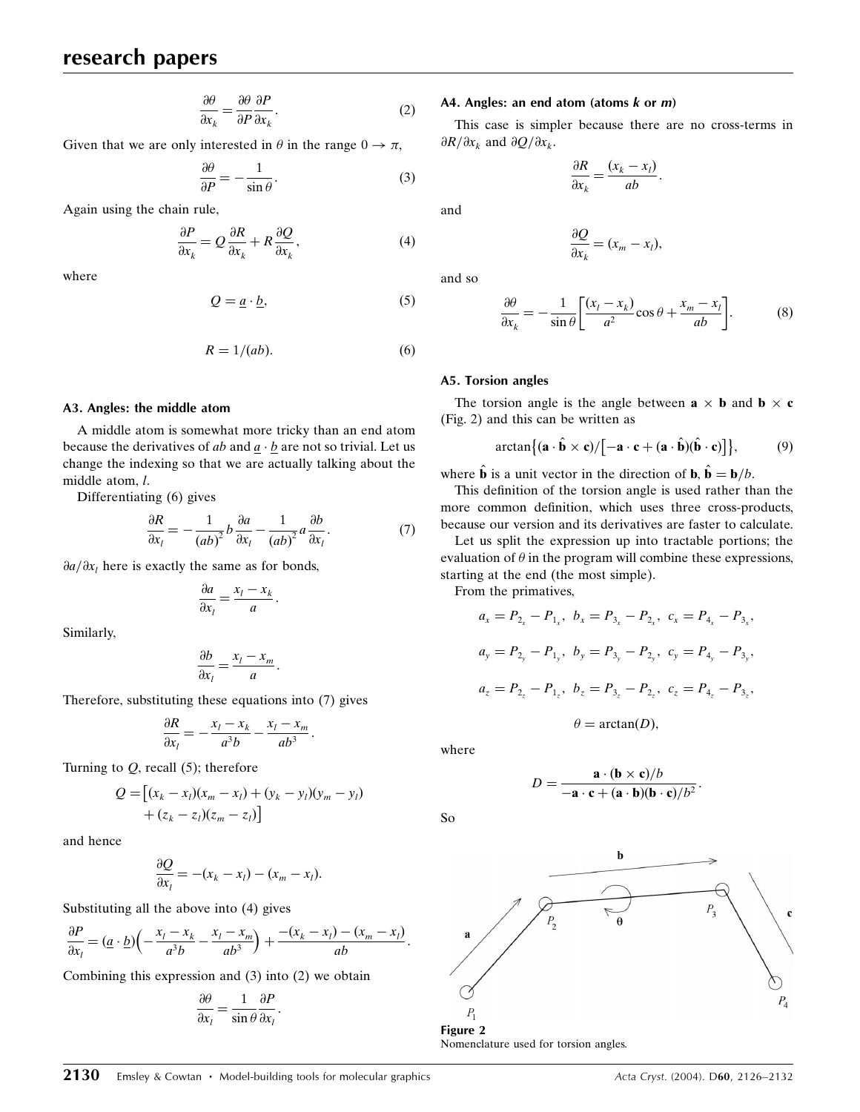# research papers

$$
\frac{\partial \theta}{\partial x_k} = \frac{\partial \theta}{\partial P} \frac{\partial P}{\partial x_k}.
$$
 (2)

Given that we are only interested in  $\theta$  in the range  $0 \to \pi$ ,

$$
\frac{\partial \theta}{\partial P} = -\frac{1}{\sin \theta}.
$$
 (3)

Again using the chain rule,

$$
\frac{\partial P}{\partial x_k} = Q \frac{\partial R}{\partial x_k} + R \frac{\partial Q}{\partial x_k},\tag{4}
$$

where

$$
Q = \underline{a} \cdot \underline{b},\tag{5}
$$

$$
R = 1/(ab). \tag{6}
$$

### A3. Angles: the middle atom

A middle atom is somewhat more tricky than an end atom because the derivatives of ab and  $\underline{a} \cdot \underline{b}$  are not so trivial. Let us change the indexing so that we are actually talking about the middle atom, l.

Differentiating (6) gives

$$
\frac{\partial R}{\partial x_l} = -\frac{1}{(ab)^2} b \frac{\partial a}{\partial x_l} - \frac{1}{(ab)^2} a \frac{\partial b}{\partial x_l}.
$$
 (7)

 $\frac{\partial a}{\partial x_i}$  here is exactly the same as for bonds,

$$
\frac{\partial a}{\partial x_l} = \frac{x_l - x_k}{a}.
$$

Similarly,

$$
\frac{\partial b}{\partial x_l} = \frac{x_l - x_m}{a}.
$$

Therefore, substituting these equations into (7) gives

$$
\frac{\partial R}{\partial x_l} = -\frac{x_l - x_k}{a^3 b} - \frac{x_l - x_m}{ab^3}.
$$

Turning to  $Q$ , recall (5); therefore

$$
Q = [(x_k - x_l)(x_m - x_l) + (y_k - y_l)(y_m - y_l) + (z_k - z_l)(z_m - z_l)]
$$

and hence

$$
\frac{\partial Q}{\partial x_l} = -(x_k - x_l) - (x_m - x_l).
$$

Substituting all the above into (4) gives

$$
\frac{\partial P}{\partial x_l} = (\underline{a} \cdot \underline{b}) \left( -\frac{x_l - x_k}{a^3 b} - \frac{x_l - x_m}{ab^3} \right) + \frac{-(x_k - x_l) - (x_m - x_l)}{ab}.
$$

Combining this expression and (3) into (2) we obtain

$$
\frac{\partial \theta}{\partial x_l} = \frac{1}{\sin \theta} \frac{\partial P}{\partial x_l}.
$$

#### A4. Angles: an end atom (atoms  $k$  or  $m$ )

This case is simpler because there are no cross-terms in  $\partial R/\partial x_k$  and  $\partial Q/\partial x_k$ .

$$
\frac{\partial R}{\partial x_k} = \frac{(x_k - x_l)}{ab}.
$$

and

$$
\frac{\partial Q}{\partial x_k} = (x_m - x_l),
$$

and so

$$
\frac{\partial \theta}{\partial x_k} = -\frac{1}{\sin \theta} \left[ \frac{(x_l - x_k)}{a^2} \cos \theta + \frac{x_m - x_l}{ab} \right].
$$
 (8)

### A5. Torsion angles

The torsion angle is the angle between  $\mathbf{a} \times \mathbf{b}$  and  $\mathbf{b} \times \mathbf{c}$ (Fig. 2) and this can be written as

$$
\arctan\{(\mathbf{a}\cdot\hat{\mathbf{b}}\times\mathbf{c})/[-\mathbf{a}\cdot\mathbf{c}+(\mathbf{a}\cdot\hat{\mathbf{b}})(\hat{\mathbf{b}}\cdot\mathbf{c})]\},\qquad(9)
$$

where  $\hat{\mathbf{b}}$  is a unit vector in the direction of  $\mathbf{b}, \hat{\mathbf{b}}=\mathbf{b}/b$ .

This definition of the torsion angle is used rather than the more common definition, which uses three cross-products, because our version and its derivatives are faster to calculate.

Let us split the expression up into tractable portions; the evaluation of  $\theta$  in the program will combine these expressions, starting at the end (the most simple).

From the primatives,

$$
a_x = P_{2_x} - P_{1_x}, \ b_x = P_{3_x} - P_{2_x}, \ c_x = P_{4_x} - P_{3_x},
$$
  

$$
a_y = P_{2_y} - P_{1_y}, \ b_y = P_{3_y} - P_{2_y}, \ c_y = P_{4_y} - P_{3_y},
$$
  

$$
a_z = P_{2_z} - P_{1_z}, \ b_z = P_{3_z} - P_{2_z}, \ c_z = P_{4_z} - P_{3_z},
$$

$$
\theta = \arctan(D),
$$

where

$$
D = \frac{\mathbf{a} \cdot (\mathbf{b} \times \mathbf{c})/b}{-\mathbf{a} \cdot \mathbf{c} + (\mathbf{a} \cdot \mathbf{b})(\mathbf{b} \cdot \mathbf{c})/b^2}.
$$

So



**2130** Emsley & Cowtan • Model-building tools for molecular graphics  $\overline{2130}$  Acta Cryst. (2004). D60, 2126–2132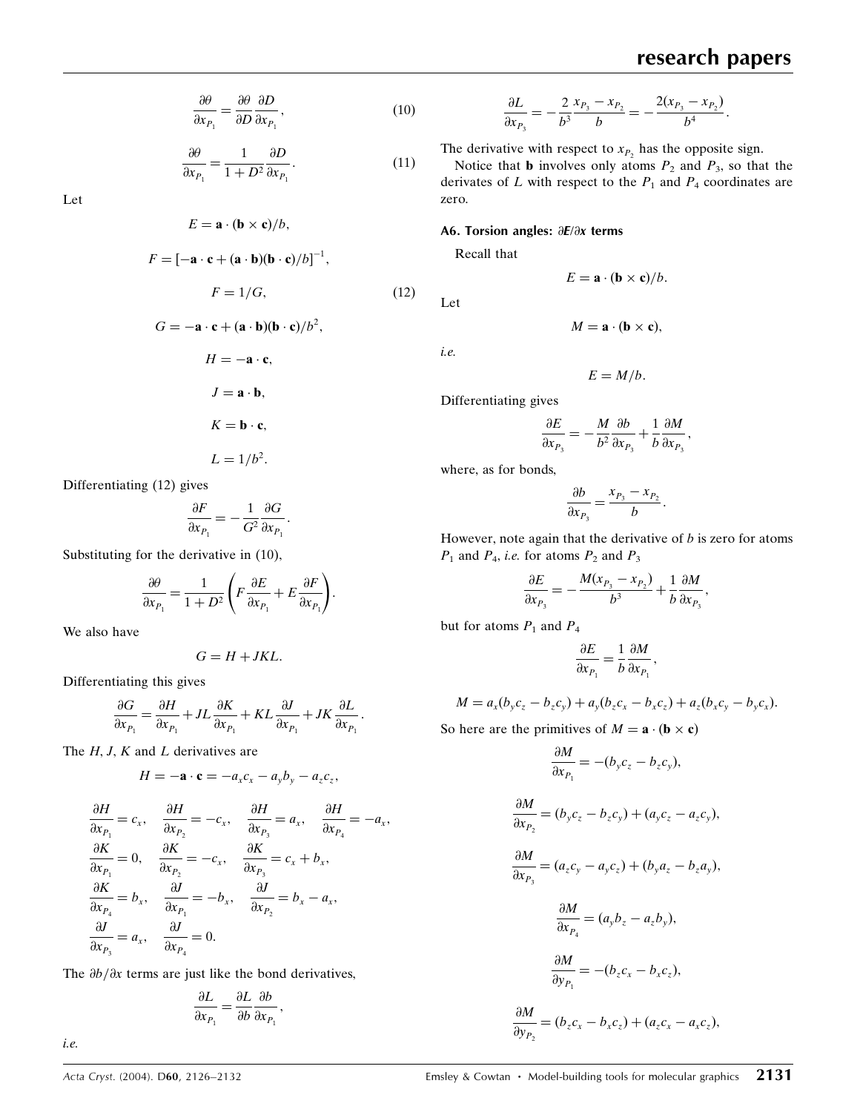$$
\frac{\partial \theta}{\partial x_{P_1}} = \frac{\partial \theta}{\partial D} \frac{\partial D}{\partial x_{P_1}},\tag{10}
$$

$$
\frac{\partial \theta}{\partial x_{P_1}} = \frac{1}{1 + D^2} \frac{\partial D}{\partial x_{P_1}}.
$$
\n(11)

Let

$$
E = \mathbf{a} \cdot (\mathbf{b} \times \mathbf{c})/b,
$$
  
\n
$$
F = [-\mathbf{a} \cdot \mathbf{c} + (\mathbf{a} \cdot \mathbf{b})(\mathbf{b} \cdot \mathbf{c})/b]^{-1},
$$
  
\n
$$
F = 1/G,
$$
  
\n
$$
G = -\mathbf{a} \cdot \mathbf{c} + (\mathbf{a} \cdot \mathbf{b})(\mathbf{b} \cdot \mathbf{c})/b^{2},
$$
  
\n
$$
H = -\mathbf{a} \cdot \mathbf{c},
$$
  
\n
$$
J = \mathbf{a} \cdot \mathbf{b},
$$
  
\n(12)

$$
K = \mathbf{b} \cdot \mathbf{c},
$$

$$
L = 1/b^2.
$$

Differentiating (12) gives

$$
\frac{\partial F}{\partial x_{P_1}}=-\frac{1}{G^2}\frac{\partial G}{\partial x_{P_1}}.
$$

Substituting for the derivative in (10),

$$
\frac{\partial \theta}{\partial x_{P_1}} = \frac{1}{1+D^2} \Bigg(F \frac{\partial E}{\partial x_{P_1}} + E \frac{\partial F}{\partial x_{P_1}}\Bigg).
$$

We also have

$$
G=H+JKL.
$$

Differentiating this gives

$$
\frac{\partial G}{\partial x_{P_1}} = \frac{\partial H}{\partial x_{P_1}} + JL \frac{\partial K}{\partial x_{P_1}} + KL \frac{\partial J}{\partial x_{P_1}} + JK \frac{\partial L}{\partial x_{P_1}}.
$$

The  $H, J, K$  and  $L$  derivatives are

$$
H = -\mathbf{a} \cdot \mathbf{c} = -a_x c_x - a_y b_y - a_z c_z,
$$

$$
\begin{aligned}\n\frac{\partial H}{\partial x_{P_1}} &= c_x, & \frac{\partial H}{\partial x_{P_2}} &= -c_x, & \frac{\partial H}{\partial x_{P_3}} &= a_x, & \frac{\partial H}{\partial x_{P_4}} &= -a_x, \\
\frac{\partial K}{\partial x_{P_1}} &= 0, & \frac{\partial K}{\partial x_{P_2}} &= -c_x, & \frac{\partial K}{\partial x_{P_3}} &= c_x + b_x, \\
\frac{\partial K}{\partial x_{P_4}} &= b_x, & \frac{\partial J}{\partial x_{P_1}} &= -b_x, & \frac{\partial J}{\partial x_{P_2}} &= b_x - a_x, \\
\frac{\partial J}{\partial x_{P_3}} &= a_x, & \frac{\partial J}{\partial x_{P_4}} &= 0.\n\end{aligned}
$$

The  $\partial b/\partial x$  terms are just like the bond derivatives,

$$
\frac{\partial L}{\partial x_{P_1}} = \frac{\partial L}{\partial b} \frac{\partial b}{\partial x_{P_1}},
$$

i.e.

$$
\frac{\partial L}{\partial x_{P_3}} = -\frac{2}{b^3} \frac{x_{P_3} - x_{P_2}}{b} = -\frac{2(x_{P_3} - x_{P_2})}{b^4}.
$$

The derivative with respect to  $x_{P_2}$  has the opposite sign.

Notice that **b** involves only atoms  $P_2$  and  $P_3$ , so that the derivates of  $L$  with respect to the  $P_1$  and  $P_4$  coordinates are zero.

### A6. Torsion angles:  $\partial E/\partial x$  terms

Recall that

$$
E = \mathbf{a} \cdot (\mathbf{b} \times \mathbf{c})/b.
$$

 $M = \mathbf{a} \cdot (\mathbf{b} \times \mathbf{c}),$ 

Let

i.e.

$$
E=M/b.
$$

$$
\frac{\partial E}{\partial x_{P_3}} = -\frac{M}{b^2}\frac{\partial b}{\partial x_{P_3}} + \frac{1}{b}\frac{\partial M}{\partial x_{P_3}},
$$

where, as for bonds,

Differentiating gives

$$
\frac{\partial b}{\partial x_{P_3}} = \frac{x_{P_3} - x_{P_2}}{b}.
$$

However, note again that the derivative of  $b$  is zero for atoms  $P_1$  and  $P_4$ , *i.e.* for atoms  $P_2$  and  $P_3$ 

$$
\frac{\partial E}{\partial x_{P_3}} = -\frac{M(x_{P_3} - x_{P_2})}{b^3} + \frac{1}{b} \frac{\partial M}{\partial x_{P_3}},
$$

but for atoms  $P_1$  and  $P_4$ 

$$
\frac{\partial E}{\partial x_{P_1}} = \frac{1}{b} \frac{\partial M}{\partial x_{P_1}},
$$

$$
M = a_x(b_yc_z - b_zc_y) + a_y(b_zc_x - b_xc_z) + a_z(b_xc_y - b_yc_x).
$$

So here are the primitives of  $M = \mathbf{a} \cdot (\mathbf{b} \times \mathbf{c})$ 

$$
\frac{\partial M}{\partial x_{P_1}} = -(b_y c_z - b_z c_y),
$$
  

$$
\frac{\partial M}{\partial x_{P_2}} = (b_y c_z - b_z c_y) + (a_y c_z - a_z c_y),
$$
  

$$
\frac{\partial M}{\partial x_{P_3}} = (a_z c_y - a_y c_z) + (b_y a_z - b_z a_y),
$$
  

$$
\frac{\partial M}{\partial x_{P_4}} = (a_y b_z - a_z b_y),
$$
  

$$
\frac{\partial M}{\partial y_{P_1}} = -(b_z c_x - b_x c_z),
$$
  

$$
\frac{\partial M}{\partial y_{P_2}} = (b_z c_x - b_x c_z) + (a_z c_x - a_x c_z),
$$